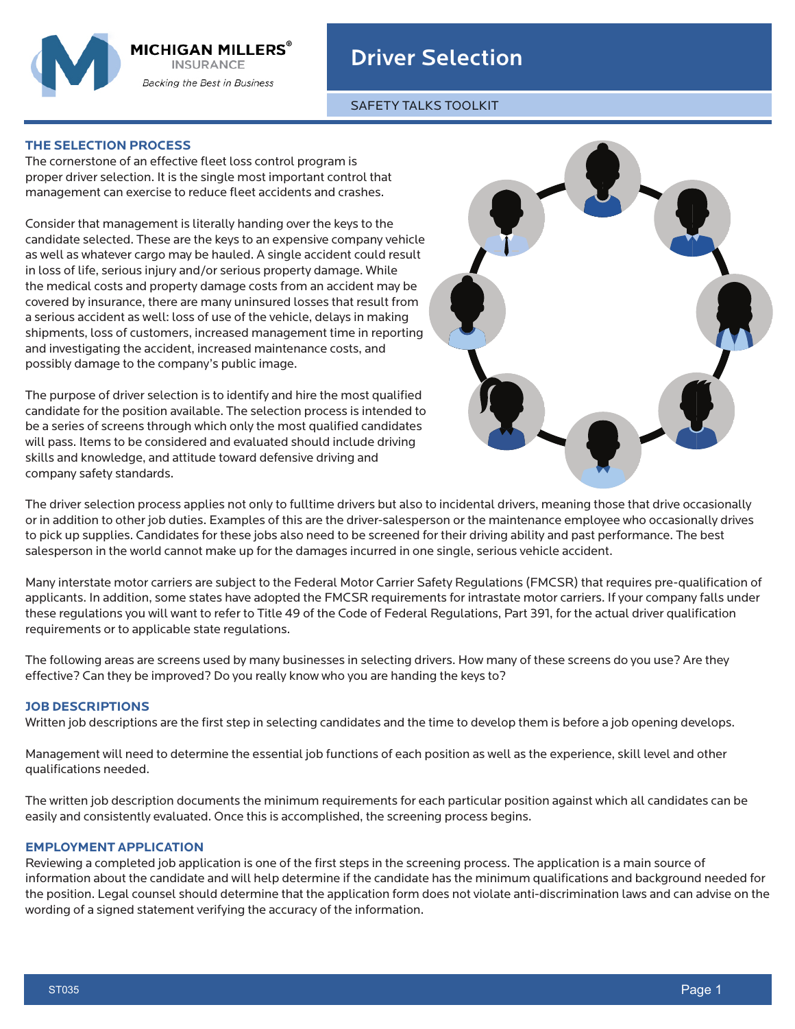

# Driver Selection

SAFETY TALKS TOOLKIT

## **THE SELECTION PROCESS**

The cornerstone of an effective fleet loss control program is proper driver selection. It is the single most important control that management can exercise to reduce fleet accidents and crashes.

Consider that management is literally handing over the keys to the candidate selected. These are the keys to an expensive company vehicle as well as whatever cargo may be hauled. A single accident could result in loss of life, serious injury and/or serious property damage. While the medical costs and property damage costs from an accident may be covered by insurance, there are many uninsured losses that result from a serious accident as well: loss of use of the vehicle, delays in making shipments, loss of customers, increased management time in reporting and investigating the accident, increased maintenance costs, and possibly damage to the company's public image.

The purpose of driver selection is to identify and hire the most qualified candidate for the position available. The selection process is intended to be a series of screens through which only the most qualified candidates will pass. Items to be considered and evaluated should include driving skills and knowledge, and attitude toward defensive driving and company safety standards.



The driver selection process applies not only to fulltime drivers but also to incidental drivers, meaning those that drive occasionally or in addition to other job duties. Examples of this are the driver-salesperson or the maintenance employee who occasionally drives to pick up supplies. Candidates for these jobs also need to be screened for their driving ability and past performance. The best salesperson in the world cannot make up for the damages incurred in one single, serious vehicle accident.

Many interstate motor carriers are subject to the Federal Motor Carrier Safety Regulations (FMCSR) that requires pre-qualification of applicants. In addition, some states have adopted the FMCSR requirements for intrastate motor carriers. If your company falls under these regulations you will want to refer to Title 49 of the Code of Federal Regulations, Part 391, for the actual driver qualification requirements or to applicable state regulations.

The following areas are screens used by many businesses in selecting drivers. How many of these screens do you use? Are they effective? Can they be improved? Do you really know who you are handing the keys to?

## **JOB DESCRIPTIONS**

Written job descriptions are the first step in selecting candidates and the time to develop them is before a job opening develops.

Management will need to determine the essential job functions of each position as well as the experience, skill level and other qualifications needed.

The written job description documents the minimum requirements for each particular position against which all candidates can be easily and consistently evaluated. Once this is accomplished, the screening process begins.

#### **EMPLOYMENT APPLICATION**

Reviewing a completed job application is one of the first steps in the screening process. The application is a main source of information about the candidate and will help determine if the candidate has the minimum qualifications and background needed for the position. Legal counsel should determine that the application form does not violate anti-discrimination laws and can advise on the wording of a signed statement verifying the accuracy of the information.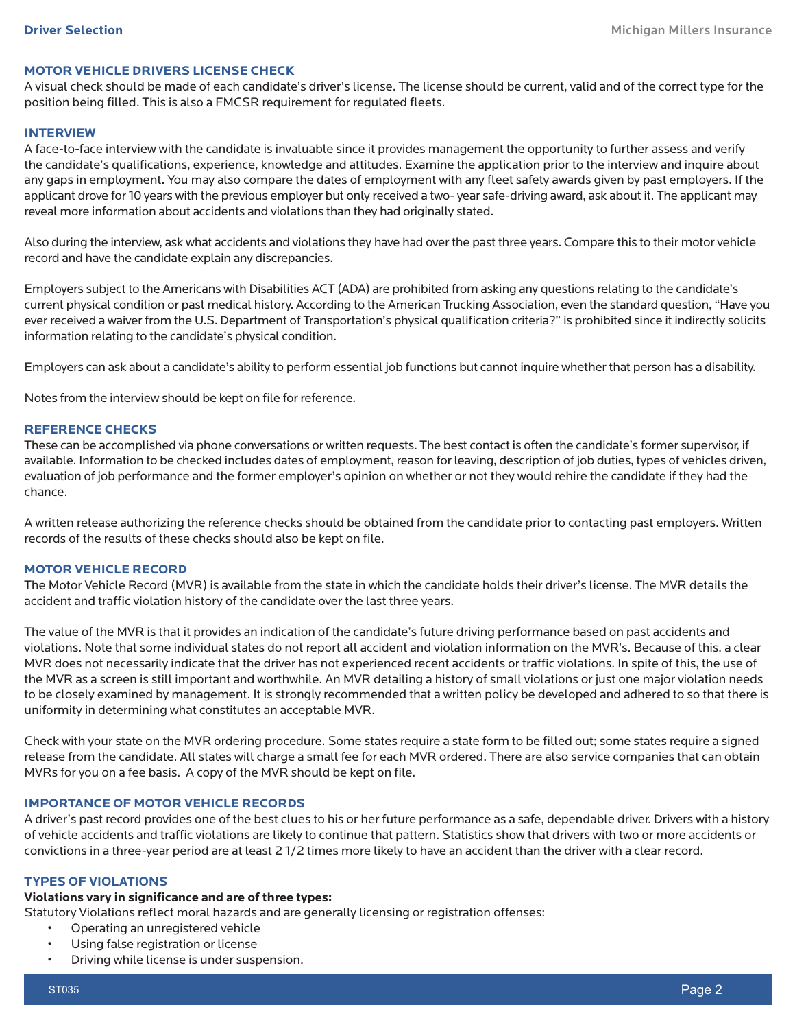#### **MOTOR VEHICLE DRIVERS LICENSE CHECK**

A visual check should be made of each candidate's driver's license. The license should be current, valid and of the correct type for the position being filled. This is also a FMCSR requirement for regulated fleets.

#### **INTERVIEW**

A face-to-face interview with the candidate is invaluable since it provides management the opportunity to further assess and verify the candidate's qualifications, experience, knowledge and attitudes. Examine the application prior to the interview and inquire about any gaps in employment. You may also compare the dates of employment with any fleet safety awards given by past employers. If the applicant drove for 10 years with the previous employer but only received a two- year safe-driving award, ask about it. The applicant may reveal more information about accidents and violations than they had originally stated.

Also during the interview, ask what accidents and violations they have had over the past three years. Compare this to their motor vehicle record and have the candidate explain any discrepancies.

Employers subject to the Americans with Disabilities ACT (ADA) are prohibited from asking any questions relating to the candidate's current physical condition or past medical history. According to the American Trucking Association, even the standard question, "Have you ever received a waiver from the U.S. Department of Transportation's physical qualification criteria?" is prohibited since it indirectly solicits information relating to the candidate's physical condition.

Employers can ask about a candidate's ability to perform essential job functions but cannot inquire whether that person has a disability.

Notes from the interview should be kept on file for reference.

#### **REFERENCE CHECKS**

These can be accomplished via phone conversations or written requests. The best contact is often the candidate's former supervisor, if available. Information to be checked includes dates of employment, reason for leaving, description of job duties, types of vehicles driven, evaluation of job performance and the former employer's opinion on whether or not they would rehire the candidate if they had the chance.

A written release authorizing the reference checks should be obtained from the candidate prior to contacting past employers. Written records of the results of these checks should also be kept on file.

#### **MOTOR VEHICLE RECORD**

The Motor Vehicle Record (MVR) is available from the state in which the candidate holds their driver's license. The MVR details the accident and traffic violation history of the candidate over the last three years.

The value of the MVR is that it provides an indication of the candidate's future driving performance based on past accidents and violations. Note that some individual states do not report all accident and violation information on the MVR's. Because of this, a clear MVR does not necessarily indicate that the driver has not experienced recent accidents or traffic violations. In spite of this, the use of the MVR as a screen is still important and worthwhile. An MVR detailing a history of small violations or just one major violation needs to be closely examined by management. It is strongly recommended that a written policy be developed and adhered to so that there is uniformity in determining what constitutes an acceptable MVR.

Check with your state on the MVR ordering procedure. Some states require a state form to be filled out; some states require a signed release from the candidate. All states will charge a small fee for each MVR ordered. There are also service companies that can obtain MVRs for you on a fee basis. A copy of the MVR should be kept on file.

#### **IMPORTANCE OF MOTOR VEHICLE RECORDS**

A driver's past record provides one of the best clues to his or her future performance as a safe, dependable driver. Drivers with a history of vehicle accidents and traffic violations are likely to continue that pattern. Statistics show that drivers with two or more accidents or convictions in a three-year period are at least 2 1/2 times more likely to have an accident than the driver with a clear record.

#### **TYPES OF VIOLATIONS**

#### **Violations vary in significance and are of three types:**

Statutory Violations reflect moral hazards and are generally licensing or registration offenses:

- Operating an unregistered vehicle
- Using false registration or license
- Driving while license is under suspension.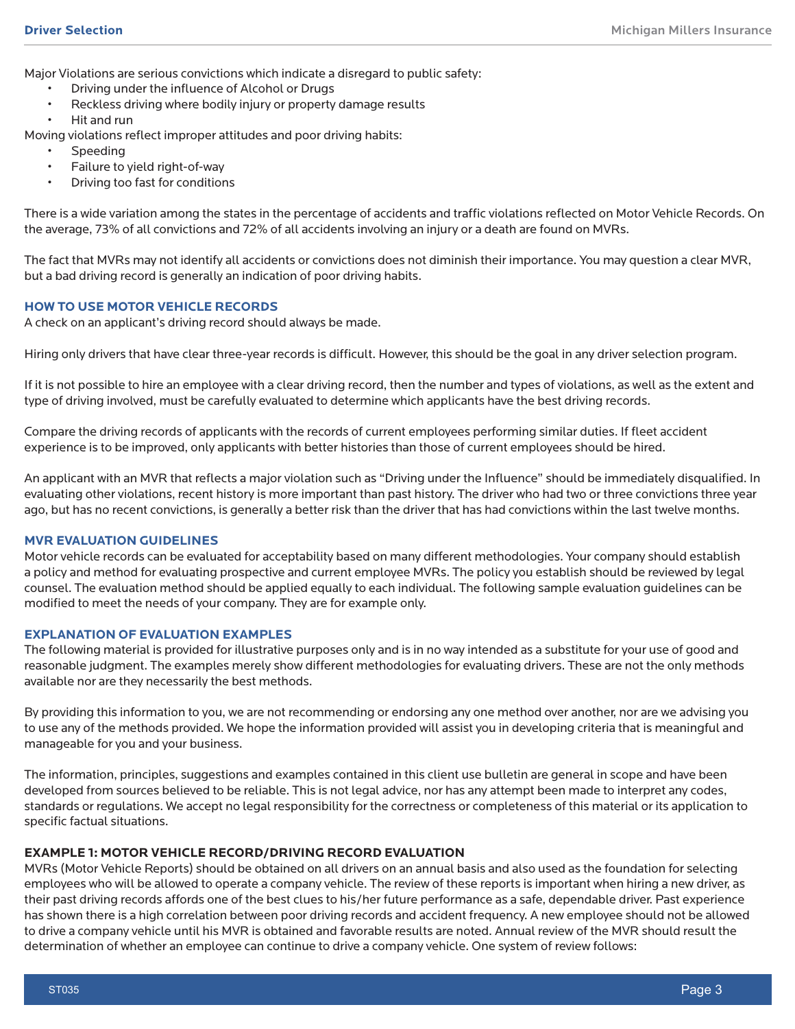Major Violations are serious convictions which indicate a disregard to public safety:

- Driving under the influence of Alcohol or Drugs
- Reckless driving where bodily injury or property damage results
- Hit and run

Moving violations reflect improper attitudes and poor driving habits:

- **Speeding**
- Failure to yield right-of-way
- Driving too fast for conditions

There is a wide variation among the states in the percentage of accidents and traffic violations reflected on Motor Vehicle Records. On the average, 73% of all convictions and 72% of all accidents involving an injury or a death are found on MVRs.

The fact that MVRs may not identify all accidents or convictions does not diminish their importance. You may question a clear MVR, but a bad driving record is generally an indication of poor driving habits.

## **HOW TO USE MOTOR VEHICLE RECORDS**

A check on an applicant's driving record should always be made.

Hiring only drivers that have clear three-year records is difficult. However, this should be the goal in any driver selection program.

If it is not possible to hire an employee with a clear driving record, then the number and types of violations, as well as the extent and type of driving involved, must be carefully evaluated to determine which applicants have the best driving records.

Compare the driving records of applicants with the records of current employees performing similar duties. If fleet accident experience is to be improved, only applicants with better histories than those of current employees should be hired.

An applicant with an MVR that reflects a major violation such as "Driving under the Influence" should be immediately disqualified. In evaluating other violations, recent history is more important than past history. The driver who had two or three convictions three year ago, but has no recent convictions, is generally a better risk than the driver that has had convictions within the last twelve months.

#### **MVR EVALUATION GUIDELINES**

Motor vehicle records can be evaluated for acceptability based on many different methodologies. Your company should establish a policy and method for evaluating prospective and current employee MVRs. The policy you establish should be reviewed by legal counsel. The evaluation method should be applied equally to each individual. The following sample evaluation guidelines can be modified to meet the needs of your company. They are for example only.

#### **EXPLANATION OF EVALUATION EXAMPLES**

The following material is provided for illustrative purposes only and is in no way intended as a substitute for your use of good and reasonable judgment. The examples merely show different methodologies for evaluating drivers. These are not the only methods available nor are they necessarily the best methods.

By providing this information to you, we are not recommending or endorsing any one method over another, nor are we advising you to use any of the methods provided. We hope the information provided will assist you in developing criteria that is meaningful and manageable for you and your business.

The information, principles, suggestions and examples contained in this client use bulletin are general in scope and have been developed from sources believed to be reliable. This is not legal advice, nor has any attempt been made to interpret any codes, standards or regulations. We accept no legal responsibility for the correctness or completeness of this material or its application to specific factual situations.

#### **EXAMPLE 1: MOTOR VEHICLE RECORD/DRIVING RECORD EVALUATION**

MVRs (Motor Vehicle Reports) should be obtained on all drivers on an annual basis and also used as the foundation for selecting employees who will be allowed to operate a company vehicle. The review of these reports is important when hiring a new driver, as their past driving records affords one of the best clues to his/her future performance as a safe, dependable driver. Past experience has shown there is a high correlation between poor driving records and accident frequency. A new employee should not be allowed to drive a company vehicle until his MVR is obtained and favorable results are noted. Annual review of the MVR should result the determination of whether an employee can continue to drive a company vehicle. One system of review follows: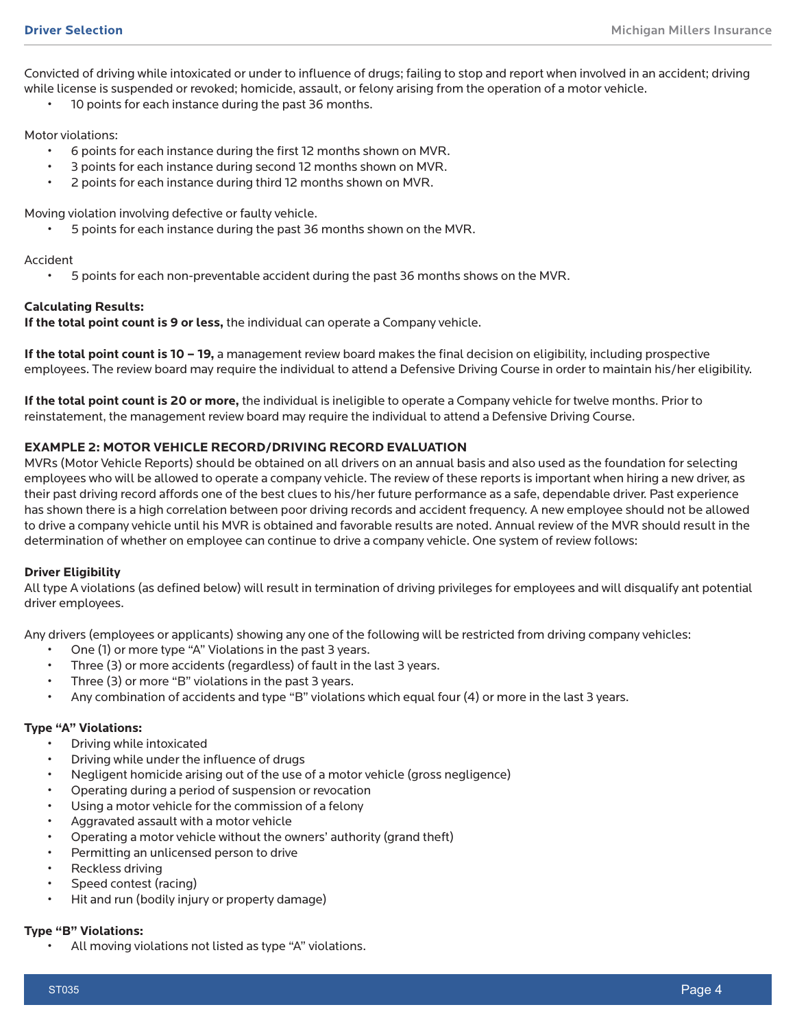Convicted of driving while intoxicated or under to influence of drugs; failing to stop and report when involved in an accident; driving while license is suspended or revoked; homicide, assault, or felony arising from the operation of a motor vehicle.

10 points for each instance during the past 36 months.

Motor violations:

- 6 points for each instance during the first 12 months shown on MVR.
- 3 points for each instance during second 12 months shown on MVR.
- 2 points for each instance during third 12 months shown on MVR.

Moving violation involving defective or faulty vehicle.

• 5 points for each instance during the past 36 months shown on the MVR.

#### Accident

• 5 points for each non-preventable accident during the past 36 months shows on the MVR.

## **Calculating Results:**

**If the total point count is 9 or less,** the individual can operate a Company vehicle.

**If the total point count is 10 – 19,** a management review board makes the final decision on eligibility, including prospective employees. The review board may require the individual to attend a Defensive Driving Course in order to maintain his/her eligibility.

**If the total point count is 20 or more,** the individual is ineligible to operate a Company vehicle for twelve months. Prior to reinstatement, the management review board may require the individual to attend a Defensive Driving Course.

## **EXAMPLE 2: MOTOR VEHICLE RECORD/DRIVING RECORD EVALUATION**

MVRs (Motor Vehicle Reports) should be obtained on all drivers on an annual basis and also used as the foundation for selecting employees who will be allowed to operate a company vehicle. The review of these reports is important when hiring a new driver, as their past driving record affords one of the best clues to his/her future performance as a safe, dependable driver. Past experience has shown there is a high correlation between poor driving records and accident frequency. A new employee should not be allowed to drive a company vehicle until his MVR is obtained and favorable results are noted. Annual review of the MVR should result in the determination of whether on employee can continue to drive a company vehicle. One system of review follows:

#### **Driver Eligibility**

All type A violations (as defined below) will result in termination of driving privileges for employees and will disqualify ant potential driver employees.

Any drivers (employees or applicants) showing any one of the following will be restricted from driving company vehicles:

- One (1) or more type "A" Violations in the past 3 years.
- Three (3) or more accidents (regardless) of fault in the last 3 years.
- Three (3) or more "B" violations in the past 3 years.
- Any combination of accidents and type "B" violations which equal four (4) or more in the last 3 years.

### **Type "A" Violations:**

- Driving while intoxicated
- Driving while under the influence of drugs
- Negligent homicide arising out of the use of a motor vehicle (gross negligence)
- Operating during a period of suspension or revocation
- Using a motor vehicle for the commission of a felony
- Aggravated assault with a motor vehicle
- Operating a motor vehicle without the owners' authority (grand theft)
- Permitting an unlicensed person to drive
- Reckless driving
- Speed contest (racing)
- Hit and run (bodily injury or property damage)

# **Type "B" Violations:**

• All moving violations not listed as type "A" violations.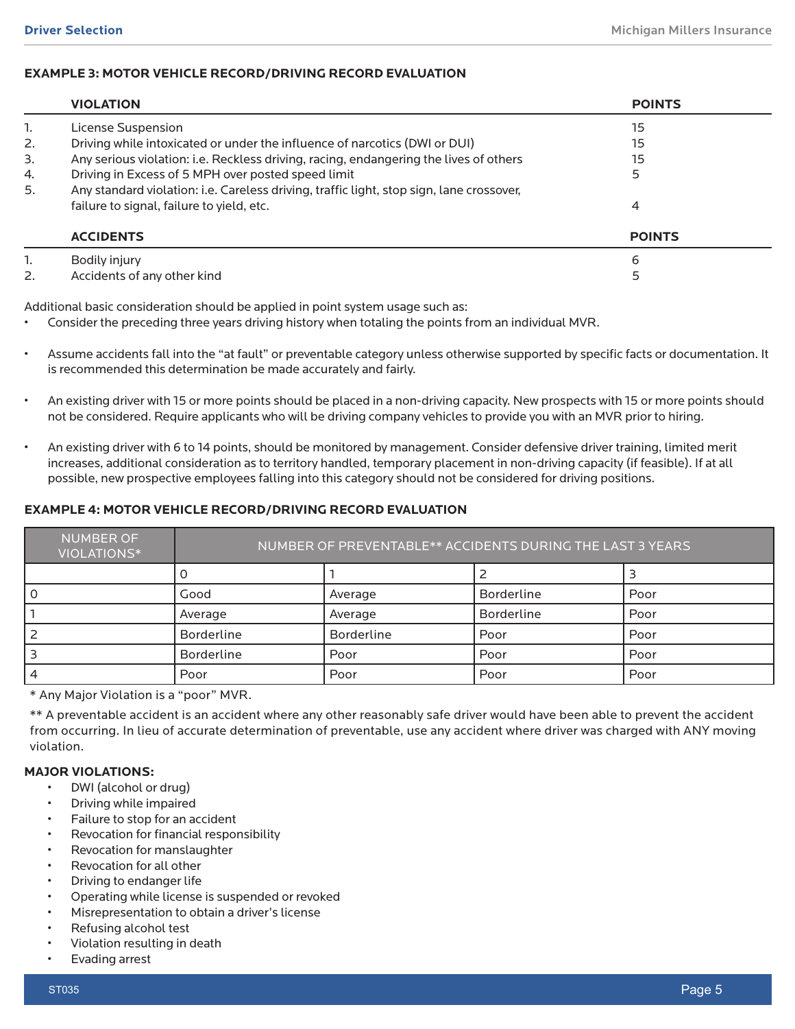## **EXAMPLE 3: MOTOR VEHICLE RECORD/DRIVING RECORD EVALUATION**

|    | <b>VIOLATION</b>                                                                         | <b>POINTS</b> |
|----|------------------------------------------------------------------------------------------|---------------|
| 1. | License Suspension                                                                       | 15            |
| 2. | Driving while intoxicated or under the influence of narcotics (DWI or DUI)               | 15            |
| 3. | Any serious violation: i.e. Reckless driving, racing, endangering the lives of others    | 15            |
| 4. | Driving in Excess of 5 MPH over posted speed limit                                       |               |
| 5. | Any standard violation: i.e. Careless driving, traffic light, stop sign, lane crossover, |               |
|    | failure to signal, failure to yield, etc.                                                | 4             |
|    | <b>ACCIDENTS</b>                                                                         | <b>POINTS</b> |
| 1. | Bodily injury                                                                            | 6             |
| 2. | Accidents of any other kind                                                              |               |

Additional basic consideration should be applied in point system usage such as:

• Consider the preceding three years driving history when totaling the points from an individual MVR.

- Assume accidents fall into the "at fault" or preventable category unless otherwise supported by specific facts or documentation. It is recommended this determination be made accurately and fairly.
- An existing driver with 15 or more points should be placed in a non-driving capacity. New prospects with 15 or more points should not be considered. Require applicants who will be driving company vehicles to provide you with an MVR prior to hiring.
- An existing driver with 6 to 14 points, should be monitored by management. Consider defensive driver training, limited merit increases, additional consideration as to territory handled, temporary placement in non-driving capacity (if feasible). If at all possible, new prospective employees falling into this category should not be considered for driving positions.

## **EXAMPLE 4: MOTOR VEHICLE RECORD/DRIVING RECORD EVALUATION**

| <b>NUMBER OF</b><br>VIOLATIONS* | NUMBER OF PREVENTABLE** ACCIDENTS DURING THE LAST 3 YEARS |                   |                   |      |
|---------------------------------|-----------------------------------------------------------|-------------------|-------------------|------|
|                                 |                                                           |                   |                   |      |
| 0                               | Good                                                      | Average           | <b>Borderline</b> | Poor |
|                                 | Average                                                   | Average           | <b>Borderline</b> | Poor |
|                                 | Borderline                                                | <b>Borderline</b> | Poor              | Poor |
| З                               | Borderline                                                | Poor              | Poor              | Poor |
| 4                               | Poor                                                      | Poor              | Poor              | Poor |

\* Any Major Violation is a "poor" MVR.

\*\* A preventable accident is an accident where any other reasonably safe driver would have been able to prevent the accident from occurring. In lieu of accurate determination of preventable, use any accident where driver was charged with ANY moving violation.

## **MAJOR VIOLATIONS:**

- DWI (alcohol or drug)
- Driving while impaired
- Failure to stop for an accident
- Revocation for financial responsibility
- Revocation for manslaughter
- Revocation for all other
- Driving to endanger life
- Operating while license is suspended or revoked
- Misrepresentation to obtain a driver's license
- Refusing alcohol test
- Violation resulting in death
- Evading arrest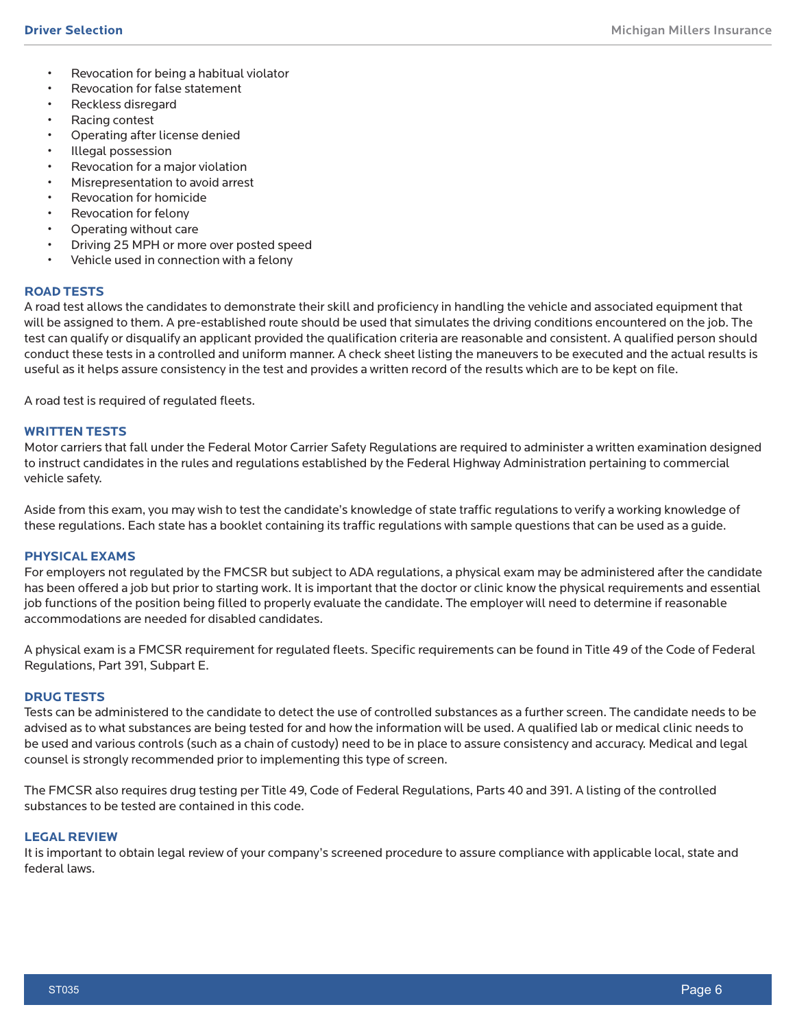- Revocation for being a habitual violator
- Revocation for false statement
- Reckless disregard
- Racing contest
- Operating after license denied
- Illegal possession
- Revocation for a major violation
- Misrepresentation to avoid arrest
- Revocation for homicide
- Revocation for felony
- Operating without care
- Driving 25 MPH or more over posted speed
- Vehicle used in connection with a felony

## **ROAD TESTS**

A road test allows the candidates to demonstrate their skill and proficiency in handling the vehicle and associated equipment that will be assigned to them. A pre-established route should be used that simulates the driving conditions encountered on the job. The test can qualify or disqualify an applicant provided the qualification criteria are reasonable and consistent. A qualified person should conduct these tests in a controlled and uniform manner. A check sheet listing the maneuvers to be executed and the actual results is useful as it helps assure consistency in the test and provides a written record of the results which are to be kept on file.

A road test is required of regulated fleets.

#### **WRITTEN TESTS**

Motor carriers that fall under the Federal Motor Carrier Safety Regulations are required to administer a written examination designed to instruct candidates in the rules and regulations established by the Federal Highway Administration pertaining to commercial vehicle safety.

Aside from this exam, you may wish to test the candidate's knowledge of state traffic regulations to verify a working knowledge of these regulations. Each state has a booklet containing its traffic regulations with sample questions that can be used as a guide.

## **PHYSICAL EXAMS**

For employers not regulated by the FMCSR but subject to ADA regulations, a physical exam may be administered after the candidate has been offered a job but prior to starting work. It is important that the doctor or clinic know the physical requirements and essential job functions of the position being filled to properly evaluate the candidate. The employer will need to determine if reasonable accommodations are needed for disabled candidates.

A physical exam is a FMCSR requirement for regulated fleets. Specific requirements can be found in Title 49 of the Code of Federal Regulations, Part 391, Subpart E.

#### **DRUG TESTS**

Tests can be administered to the candidate to detect the use of controlled substances as a further screen. The candidate needs to be advised as to what substances are being tested for and how the information will be used. A qualified lab or medical clinic needs to be used and various controls (such as a chain of custody) need to be in place to assure consistency and accuracy. Medical and legal counsel is strongly recommended prior to implementing this type of screen.

The FMCSR also requires drug testing per Title 49, Code of Federal Regulations, Parts 40 and 391. A listing of the controlled substances to be tested are contained in this code.

### **LEGAL REVIEW**

It is important to obtain legal review of your company's screened procedure to assure compliance with applicable local, state and federal laws.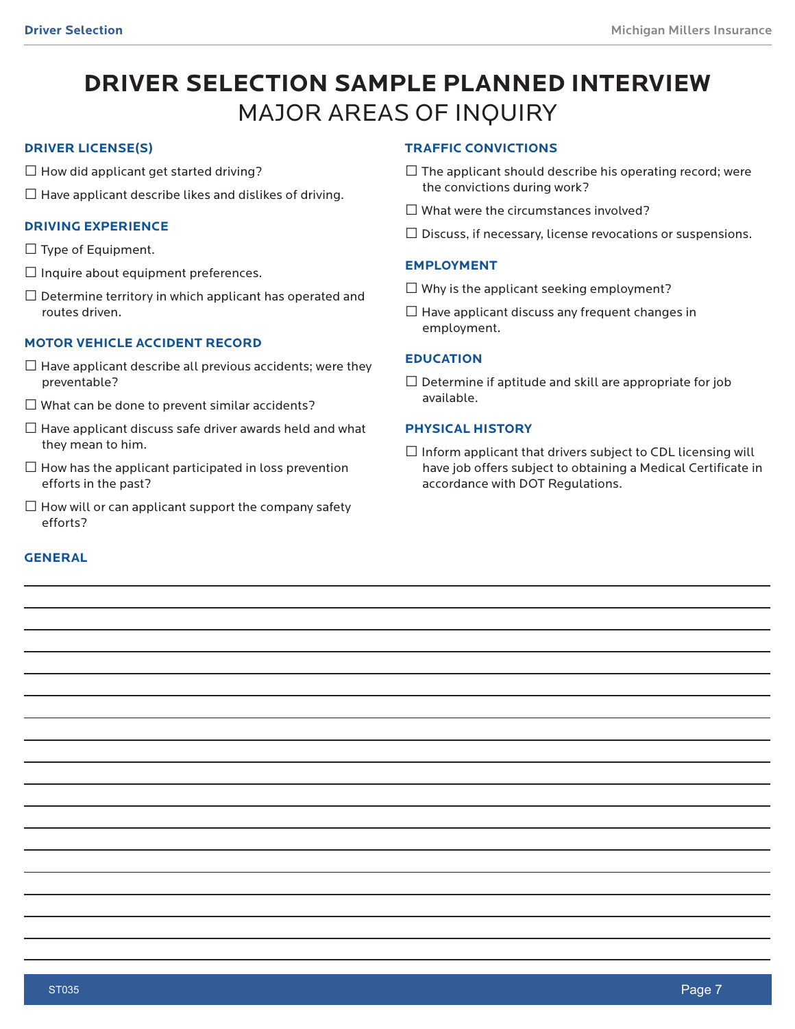# **DRIVER SELECTION SAMPLE PLANNED INTERVIEW** MAJOR AREAS OF INQUIRY

## **DRIVER LICENSE(S)**

- $\square$  How did applicant get started driving?
- $\square$  Have applicant describe likes and dislikes of driving.

## **DRIVING EXPERIENCE**

- $\square$  Type of Equipment.
- $\square$  Inquire about equipment preferences.
- $\square$  Determine territory in which applicant has operated and routes driven.

# **MOTOR VEHICLE ACCIDENT RECORD**

- $\square$  Have applicant describe all previous accidents; were they preventable?
- $\square$  What can be done to prevent similar accidents?
- $\square$  Have applicant discuss safe driver awards held and what they mean to him.
- $\square$  How has the applicant participated in loss prevention efforts in the past?
- $\square$  How will or can applicant support the company safety efforts?

# **GENERAL**

## **TRAFFIC CONVICTIONS**

- $\square$  The applicant should describe his operating record; were the convictions during work?
- $\square$  What were the circumstances involved?
- $\square$  Discuss, if necessary, license revocations or suspensions.

## **EMPLOYMENT**

- $\square$  Why is the applicant seeking employment?
- $\square$  Have applicant discuss any frequent changes in employment.

## **EDUCATION**

 $\square$  Determine if aptitude and skill are appropriate for job available.

## **PHYSICAL HISTORY**

 $\square$  Inform applicant that drivers subject to CDL licensing will have job offers subject to obtaining a Medical Certificate in accordance with DOT Regulations.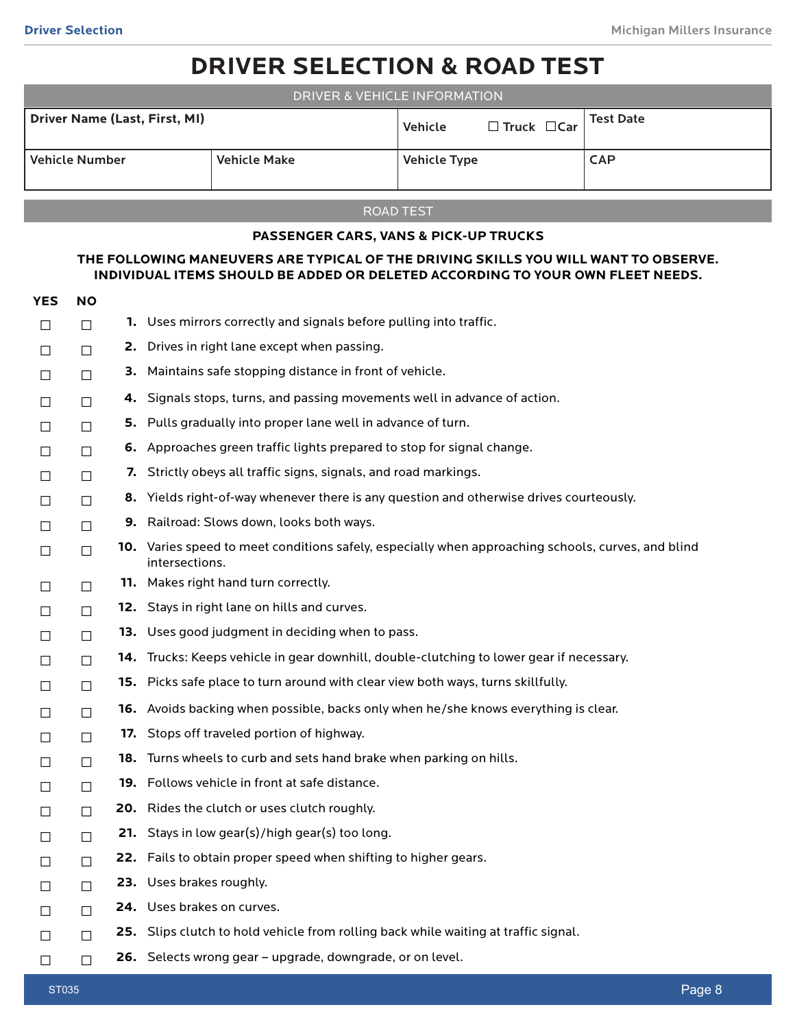# **DRIVER SELECTION & ROAD TEST**

| <b>Driver Name (Last, First, MI)</b><br><b>Test Date</b><br>$\Box$ Truck $\Box$ Car<br>Vehicle<br><b>Vehicle Number</b><br><b>CAP</b><br><b>Vehicle Make</b><br><b>Vehicle Type</b> | DRIVER & VEHICLE INFORMATION |  |  |  |  |  |
|-------------------------------------------------------------------------------------------------------------------------------------------------------------------------------------|------------------------------|--|--|--|--|--|
|                                                                                                                                                                                     |                              |  |  |  |  |  |
|                                                                                                                                                                                     |                              |  |  |  |  |  |

## ROAD TEST

## **PASSENGER CARS, VANS & PICK-UP TRUCKS**

## **THE FOLLOWING MANEUVERS ARE TYPICAL OF THE DRIVING SKILLS YOU WILL WANT TO OBSERVE. INDIVIDUAL ITEMS SHOULD BE ADDED OR DELETED ACCORDING TO YOUR OWN FLEET NEEDS.**

| <b>YES</b> | <b>NO</b> |     |                                                                                                                      |
|------------|-----------|-----|----------------------------------------------------------------------------------------------------------------------|
| $\Box$     | $\Box$    |     | <b>1.</b> Uses mirrors correctly and signals before pulling into traffic.                                            |
| $\Box$     | $\Box$    | 2.  | Drives in right lane except when passing.                                                                            |
| $\Box$     | $\Box$    | З.  | Maintains safe stopping distance in front of vehicle.                                                                |
| $\Box$     | $\Box$    | 4.  | Signals stops, turns, and passing movements well in advance of action.                                               |
| $\Box$     | $\Box$    | 5.  | Pulls gradually into proper lane well in advance of turn.                                                            |
| $\Box$     | $\Box$    | 6.  | Approaches green traffic lights prepared to stop for signal change.                                                  |
| $\Box$     | $\Box$    | 7.  | Strictly obeys all traffic signs, signals, and road markings.                                                        |
| $\Box$     | $\Box$    | 8.  | Yields right-of-way whenever there is any question and otherwise drives courteously.                                 |
| $\Box$     | $\Box$    |     | <b>9.</b> Railroad: Slows down, looks both ways.                                                                     |
| $\Box$     | $\Box$    |     | 10. Varies speed to meet conditions safely, especially when approaching schools, curves, and blind<br>intersections. |
| $\Box$     | $\Box$    |     | 11. Makes right hand turn correctly.                                                                                 |
| $\Box$     | $\Box$    |     | <b>12.</b> Stays in right lane on hills and curves.                                                                  |
| $\Box$     | $\Box$    |     | 13. Uses good judgment in deciding when to pass.                                                                     |
| $\Box$     | $\Box$    |     | 14. Trucks: Keeps vehicle in gear downhill, double-clutching to lower gear if necessary.                             |
| $\Box$     | $\Box$    |     | 15. Picks safe place to turn around with clear view both ways, turns skillfully.                                     |
| $\Box$     | $\Box$    |     | 16. Avoids backing when possible, backs only when he/she knows everything is clear.                                  |
| $\Box$     | $\Box$    | 17. | Stops off traveled portion of highway.                                                                               |
| $\Box$     | $\Box$    | 18. | Turns wheels to curb and sets hand brake when parking on hills.                                                      |
| $\Box$     | $\Box$    |     | <b>19.</b> Follows vehicle in front at safe distance.                                                                |
| $\Box$     | $\Box$    |     | <b>20.</b> Rides the clutch or uses clutch roughly.                                                                  |
| $\Box$     | $\Box$    | 21. | Stays in low gear(s)/high gear(s) too long.                                                                          |
| $\Box$     | $\Box$    |     | 22. Fails to obtain proper speed when shifting to higher gears.                                                      |
| $\Box$     | $\Box$    |     | 23. Uses brakes roughly.                                                                                             |
| $\Box$     | $\Box$    |     | 24. Uses brakes on curves.                                                                                           |
| $\Box$     | $\Box$    |     | <b>25.</b> Slips clutch to hold vehicle from rolling back while waiting at traffic signal.                           |
| $\Box$     | $\Box$    |     | <b>26.</b> Selects wrong gear – upgrade, downgrade, or on level.                                                     |